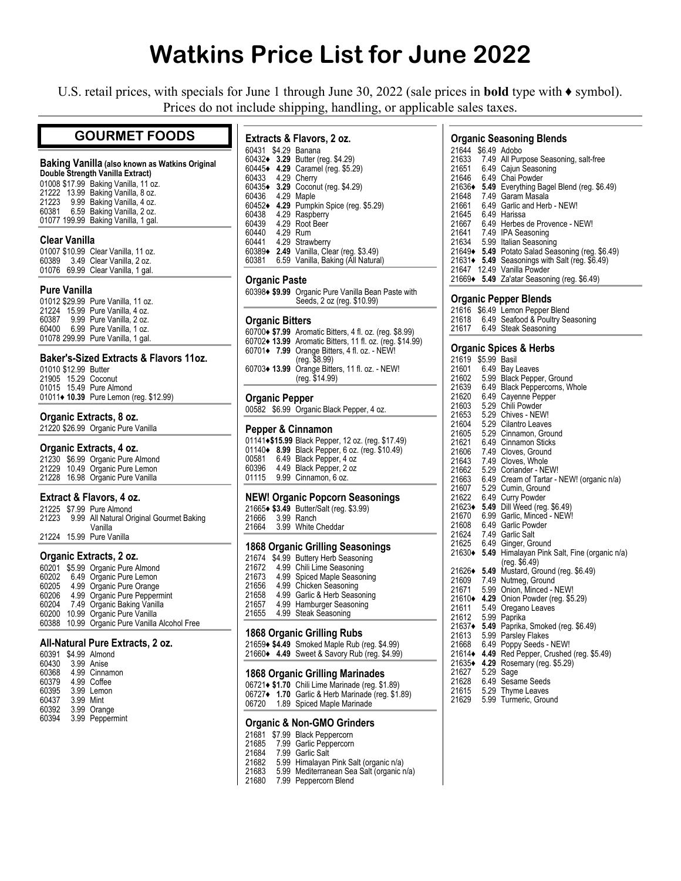# **Watkins Price List for June 2022**

U.S. retail prices, with specials for June 1 through June 30, 2022 (sale prices in **bold** type with ♦ symbol). Prices do not include shipping, handling, or applicable sales taxes.

# **GOURMET FOODS**

## **Baking Vanilla (also known as Watkins Original**

**Double Strength Vanilla Extract)** 01008 \$17.99 Baking Vanilla, 11 oz. 21222 13.99 Baking Vanilla, 8 oz. 21223 9.99 Baking Vanilla, 4 oz. 60381 6.59 Baking Vanilla, 2 oz. 01077 199.99 Baking Vanilla, 1 gal.

## **Clear Vanilla**

|  | 01007 \$10.99 Clear Vanilla, 11 oz. |
|--|-------------------------------------|
|  | 60389 3.49 Clear Vanilla, 2 oz.     |
|  | 01076 69.99 Clear Vanilla, 1 gal.   |

## **Pure Vanilla**

01012 \$29.99 Pure Vanilla, 11 oz. 21224 15.99 Pure Vanilla, 4 oz. 60387 9.99 Pure Vanilla, 2 oz. 60400 6.99 Pure Vanilla, 1 oz. 01078 299.99 Pure Vanilla, 1 gal.

## **Baker's-Sized Extracts & Flavors 11oz.**

| 01010 \$12.99 Butter    |                                         |
|-------------------------|-----------------------------------------|
| 21905 15.29 Coconut     |                                         |
| 01015 15.49 Pure Almond |                                         |
|                         | 01011 • 10.39 Pure Lemon (reg. \$12.99) |

## **Organic Extracts, 8 oz.**

21220 \$26.99 Organic Pure Vanilla

## **Organic Extracts, 4 oz.**

21230 \$6.99 Organic Pure Almond 21229 10.49 Organic Pure Lemon 21228 16.98 Organic Pure Vanilla

## **Extract & Flavors, 4 oz.**

|  | 21225 \$7.99 Pure Almond                       |
|--|------------------------------------------------|
|  | 21223 9.99 All Natural Original Gourmet Baking |
|  | Vanilla                                        |
|  | 21224 15.99 Pure Vanilla                       |

## **Organic Extracts, 2 oz.**

| \$5.99 Organic Pure Almond              |
|-----------------------------------------|
| 6.49 Organic Pure Lemon                 |
| 4.99 Organic Pure Orange                |
| 4.99 Organic Pure Peppermint            |
| 7.49 Organic Baking Vanilla             |
| 10.99 Organic Pure Vanilla              |
| 10.99 Organic Pure Vanilla Alcohol Free |
|                                         |

### **All-Natural Pure Extracts, 2 oz.**

| 60391 |           | \$4.99 Almond   |
|-------|-----------|-----------------|
| 60430 |           | 3.99 Anise      |
| 60368 |           | 4.99 Cinnamon   |
| 60379 |           | 4.99 Coffee     |
| 60395 |           | 3.99 Lemon      |
| 60437 | 3.99 Mint |                 |
| 60392 |           | 3.99 Orange     |
| 60394 |           | 3.99 Peppermint |

| Extracts & Flavors, 2 oz. |  |  |  |
|---------------------------|--|--|--|
|---------------------------|--|--|--|

| \$4.29 Banana<br>60431<br>60432♦<br>3.29 Butter (reg. \$4.29)<br>Caramel (reg. \$5.29)<br>60445+<br>4.29<br>60433<br>4.29<br>Cherry<br>60435◆<br>Coconut (reg. \$4.29)<br>3.29<br>60436<br>4.29<br>Maple<br>60452+<br>Pumpkin Spice (reg. \$5.29)<br>4.29<br>60438<br>4.29 Raspberry<br>60439<br>4.29<br>Root Beer<br>60440<br>4.29<br>Rum<br>60441<br>4.29 Strawberry<br>60389+<br>2.49 Vanilla, Clear (reg. \$3.49)<br>60381<br>6.59 Vanilla, Baking (All Natural) |
|----------------------------------------------------------------------------------------------------------------------------------------------------------------------------------------------------------------------------------------------------------------------------------------------------------------------------------------------------------------------------------------------------------------------------------------------------------------------|
|----------------------------------------------------------------------------------------------------------------------------------------------------------------------------------------------------------------------------------------------------------------------------------------------------------------------------------------------------------------------------------------------------------------------------------------------------------------------|

## **Organic Paste**

60398**♦ \$9.99** Organic Pure Vanilla Bean Paste with Seeds, 2 oz (reg. \$10.99)

### **Organic Bitters**

**♦ \$7.99** Aromatic Bitters, 4 fl. oz. (reg. \$8.99) **♦ 13.99** Aromatic Bitters, 11 fl. oz. (reg. \$14.99) **♦ 7.99** Orange Bitters, 4 fl. oz. - NEW! (reg. \$8.99) **♦ 13.99** Orange Bitters, 11 fl. oz. - NEW! (reg. \$14.99)

## **Organic Pepper**

00582 \$6.99 Organic Black Pepper, 4 oz.

## **Pepper & Cinnamon**

|       | 01141 • \$15.99 Black Pepper, 12 oz. (reg. \$17.49) |
|-------|-----------------------------------------------------|
|       | 01140 • 8.99 Black Pepper, 6 oz. (reg. \$10.49)     |
| 00581 | 6.49 Black Pepper, 4 oz                             |
| 60396 | 4.49 Black Pepper, 2 oz                             |
| 01115 | 9.99 Cinnamon, 6 oz.                                |

#### **NEW! Organic Popcorn Seasonings**   $(99)$

|                  | 21665◆ \$3.49 Butter/Salt (reg. \$3 |
|------------------|-------------------------------------|
| 21666 3.99 Ranch |                                     |
| $\sim$           |                                     |

|  | 21664 3.99 White Cheddar                         |  |
|--|--------------------------------------------------|--|
|  | $\sim$ $\sim$ $\sim$ $\sim$ $\sim$ $\sim$ $\sim$ |  |

# **1868 Organic Grilling Seasonings**

| 21674 | \$4.99 Buttery Herb Seasoning |  |
|-------|-------------------------------|--|
| 21672 | 4.99 Chili Lime Seasoning     |  |
| 21673 | 4.99 Spiced Maple Seasoning   |  |
| 21656 | 4.99 Chicken Seasoning        |  |
| 21658 | 4.99 Garlic & Herb Seasoning  |  |
| 21657 | 4.99 Hamburger Seasoning      |  |
| 21655 | 4.99 Steak Seasoning          |  |
|       |                               |  |

### **1868 Organic Grilling Rubs**

21659**♦ \$4.49** Smoked Maple Rub (reg. \$4.99) 21660**♦ 4.49** Sweet & Savory Rub (reg. \$4.99)

### **1868 Organic Grilling Marinades**

|       | 06721◆ \$1.70 Chili Lime Marinade (reg. \$1.89)  |
|-------|--------------------------------------------------|
|       | 06727◆ 1.70 Garlic & Herb Marinade (reg. \$1.89) |
| 06720 | 1.89 Spiced Maple Marinade                       |

## **Organic & Non-GMO Grinders**

|  |  | 21681 \$7.99 Black Peppercorn |
|--|--|-------------------------------|
|--|--|-------------------------------|

- 21685 7.99 Garlic Peppercorn
- 21684 7.99 Garlic Salt
- 21682 5.99 Himalayan Pink Salt (organic n/a)
- 21683 5.99 Mediterranean Sea Salt (organic n/a)
- 7.99 Peppercorn Blend

## **Organic Seasoning Blends**

| 21644  | \$6.49 Adobo                                      |
|--------|---------------------------------------------------|
| 21633  | 7.49 All Purpose Seasoning, salt-free             |
| 21651  | 6.49 Cajun Seasoning                              |
| 21646  | 6.49 Chai Powder                                  |
| 21636+ | 5.49 Everything Bagel Blend (reg. \$6.49)         |
| 21648  | 7.49 Garam Masala                                 |
| 21661  | 6.49 Garlic and Herb - NEW!                       |
| 21645  | 6.49 Harissa                                      |
| 21667  | 6.49 Herbes de Provence - NEW!                    |
|        | 21641 7.49 IPA Seasoning                          |
| 21634  | 5.99 Italian Seasoning                            |
|        | 21649 • 5.49 Potato Salad Seasoning (reg. \$6.49) |
| 21631+ | 5.49 Seasonings with Salt (reg. \$6.49)           |
| 21647  | 12.49 Vanilla Powder                              |
|        | 21669 + 5.49 Za'atar Seasoning (reg. \$6.49)      |

### **Organic Pepper Blends**

21616 \$6.49 Lemon Pepper Blend 21618 6.49 Seafood & Poultry Seasoning<br>21617 6.49 Steak Seasoning 6.49 Steak Seasoning

## **Organic Spices & Herbs**

| 21619      | \$5.99 | Basil                                   |
|------------|--------|-----------------------------------------|
| 21601      | 6.49   | Bay Leaves                              |
| 21602      |        | 5.99 Black Pepper, Ground               |
| 21639      |        | 6.49 Black Peppercorns, Whole           |
| 21620      | 6.49   | Cayenne Pepper                          |
| 21603      |        | 5.29 Chili Powder                       |
| 21653      |        | 5.29 Chives - NEW!                      |
| 21604      |        | 5.29 Cilantro Leaves                    |
| 21605      |        | 5.29 Cinnamon, Ground                   |
| 21621      | 6.49   | <b>Cinnamon Sticks</b>                  |
| 21606      | 7.49   | Cloves, Ground                          |
| 21643      | 7.49   | Cloves, Whole                           |
| 21662      | 5.29   | Coriander - NEW!                        |
| 21663      | 6.49   | Cream of Tartar - NEW! (organic n/a)    |
| 21607      | 5.29   | Cumin, Ground                           |
| 21622      | 6.49   | <b>Curry Powder</b>                     |
| 21623◆     | 5.49   | Dill Weed (reg. \$6.49)                 |
| 21670      | 6.99   | Garlic, Minced - NEW!                   |
| 21608      | 6.49   | Garlic Powder                           |
| 21624      | 7.49   | <b>Garlic Salt</b>                      |
| 21625 6.49 |        | Ginger, Ground                          |
| 21630◆     | 5.49   | Himalayan Pink Salt, Fine (organic n/a) |
|            |        | (reg. \$6.49)                           |
| 21626◆     | 5.49   | Mustard, Ground (reg. \$6.49)           |
| 21609      | 7.49   | Nutmeg, Ground                          |
| 21671      | 5.99   | Onion, Minced - NEW!                    |
| 21610◆     | 4.29   | Onion Powder (reg. \$5.29)              |
| 21611      | 5.49   | Oregano Leaves                          |
| 21612      | 5.99   | Paprika                                 |
| 21637♦     | 5.49   | Paprika, Smoked (reg. \$6.49)           |
| 21613      | 5.99   | <b>Parsley Flakes</b>                   |
| 21668      | 6.49   | Poppy Seeds - NEW!                      |
| 21614♦     | 4.49   | Red Pepper, Crushed (reg. \$5.49)       |
| 21635♦     | 4.29   | Rosemary (reg. \$5.29)                  |
| 21627      | 5.29   | Sage                                    |
| 21628      |        | 6.49 Sesame Seeds                       |
| 21615      |        | 5.29 Thyme Leaves                       |
| 21629      | 5.99   | Turmeric, Ground                        |